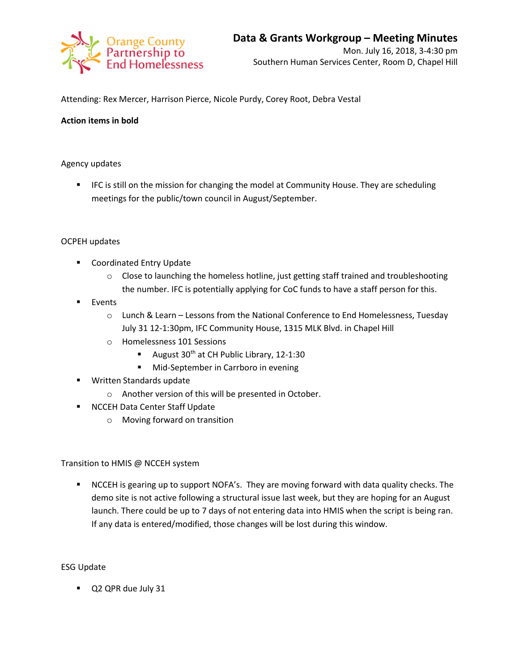

Attending: Rex Mercer, Harrison Pierce, Nicole Purdy, Corey Root, Debra Vestal

# **Action items in bold**

# Agency updates

**IFC is still on the mission for changing the model at Community House. They are scheduling** meetings for the public/town council in August/September.

### OCPEH updates

- Coordinated Entry Update
	- o Close to launching the homeless hotline, just getting staff trained and troubleshooting the number. IFC is potentially applying for CoC funds to have a staff person for this.
- **Events** 
	- o Lunch & Learn Lessons from the National Conference to End Homelessness, Tuesday July 31 12-1:30pm, IFC Community House, 1315 MLK Blvd. in Chapel Hill
	- o Homelessness 101 Sessions
		- August  $30<sup>th</sup>$  at CH Public Library, 12-1:30
		- **Mid-September in Carrboro in evening**
- **Written Standards update** 
	- o Another version of this will be presented in October.
- **NCCEH Data Center Staff Update** 
	- o Moving forward on transition

Transition to HMIS @ NCCEH system

 NCCEH is gearing up to support NOFA's. They are moving forward with data quality checks. The demo site is not active following a structural issue last week, but they are hoping for an August launch. There could be up to 7 days of not entering data into HMIS when the script is being ran. If any data is entered/modified, those changes will be lost during this window.

### ESG Update

Q2 QPR due July 31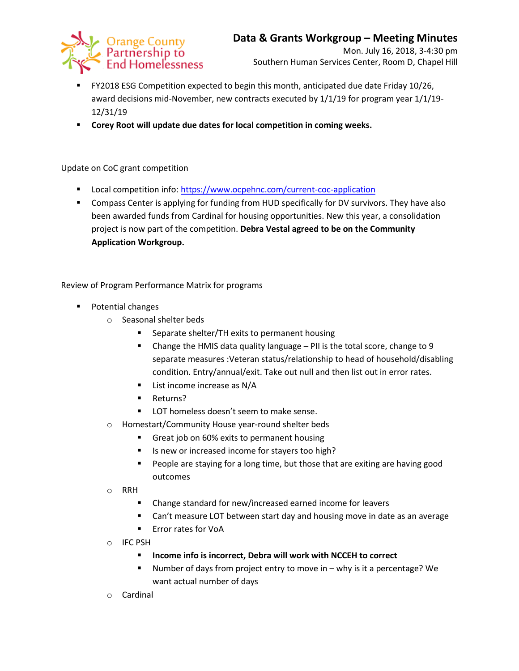

- FY2018 ESG Competition expected to begin this month, anticipated due date Friday 10/26, award decisions mid-November, new contracts executed by 1/1/19 for program year 1/1/19- 12/31/19
- **Corey Root will update due dates for local competition in coming weeks.**

# Update on CoC grant competition

- **Local competition info:<https://www.ocpehnc.com/current-coc-application>**
- Compass Center is applying for funding from HUD specifically for DV survivors. They have also been awarded funds from Cardinal for housing opportunities. New this year, a consolidation project is now part of the competition. **Debra Vestal agreed to be on the Community Application Workgroup.**

Review of Program Performance Matrix for programs

- **Potential changes** 
	- o Seasonal shelter beds
		- Separate shelter/TH exits to permanent housing
		- Change the HMIS data quality language  $-$  PII is the total score, change to 9 separate measures :Veteran status/relationship to head of household/disabling condition. Entry/annual/exit. Take out null and then list out in error rates.
		- **List income increase as N/A**
		- **Returns?**
		- **LOT** homeless doesn't seem to make sense.
	- o Homestart/Community House year-round shelter beds
		- Great job on 60% exits to permanent housing
		- Is new or increased income for stayers too high?
		- **People are staying for a long time, but those that are exiting are having good** outcomes

o RRH

- Change standard for new/increased earned income for leavers
- Can't measure LOT between start day and housing move in date as an average
- **Error rates for VoA**
- o IFC PSH
	- **Income info is incorrect, Debra will work with NCCEH to correct**
	- Number of days from project entry to move in why is it a percentage? We want actual number of days
- o Cardinal